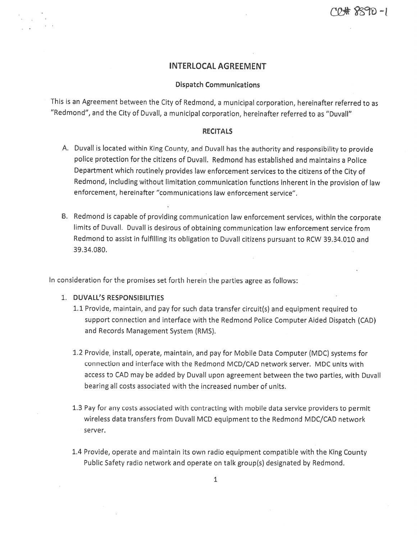# INTERLOCAL AGREEMENT

#### Dispatch Communications

This is an Agreement between the City of Redmond, <sup>a</sup> municipal corporation, hereinafter referred to as "Redmond", and the City of Duvall, <sup>a</sup> municipal corporation, hereinafter referred to as "Duvall"

### **RECITALS**

- A. Duvall is located within King County, and DuvaII has the authority and responsibility to provide police protection for the citizens of Duvall. Redmond has established and maintains <sup>a</sup> Police Department which routinely provides law enforcement services to the citizens of the City of Redmond, including without limitation communication functions inherent in the provision of law enforcement, hereinafter "communications law enforcement service".
- B. Redmond is capable of providing communication law enforcement services, within the corporate limits of Duvall, Duvall is desirous of obtaining communication law enforcement service from Redmond to assist in fulfilling its obligation to Duvall citizens pursuant to RCW 39.34.010 and 3934080.

In consideration for the promises set forth herein the parties agree as follows:

### 1; DUVALL'S RESPONSIBILITIES

- 1.1 Provide, maintain, and pay for such data transfer circuit(s) and equipment required to suppor<sup>t</sup> connection and interface with the Redmond Police Computer Aided Dispatch (CAD) and Records Management System (RMS).
- 1.2 Provide, install, operate, maintain, and pay for Mobile Data Computer (MDC) systems for connection and interface with the Redmond MCD/CAD network server. MDC units with access to CAD may be added by Duvall upon agreemen<sup>t</sup> between the two parties, with Duvall bearing alt costs associated with the increased number of units.
- 1.3 Pay for any costs associated with contracting with mobile data service providers to permit wireless data transfers from Duvall MCD equipment to the Redmond MDC/CAD network server.
- 1.4 Provide, operate and maintain its own radio equipment compatible with the King County Public Safety radio network and operate on talk group(s) designated by Redmond.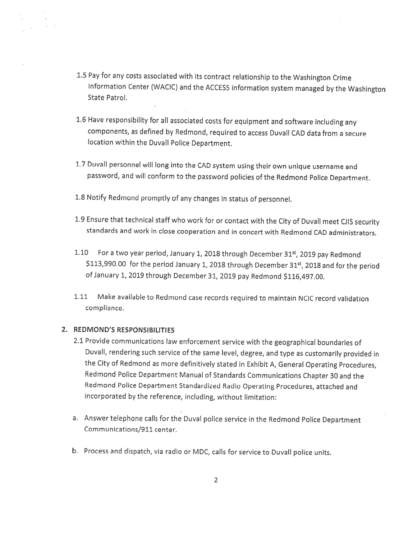- 1.5 Pay for any costs associated with its contract relationship to the Washington Crime Information Center (WACIC) and the ACCESS information system managed bythe Washington State Patrol.
- L6'Have responsibility for all associated costs for equipment and software including any components, as defined by Redmond, required to access Duvall CAD data from <sup>a</sup> secure location within the Duvall Police Department.
- L7 Duvall personnel will long into the CAD system using their own unique username and password, and will conform to the password policies of the Redmond Police Department.
- 1.8 Notify Redmond promptly of any changes in status of personnel.
- 1,9 Ensure that technical staffwho work for or contact with the City of Duvall meet CJIS security standards and work in close cooperation and in concert with Redmond CAD administrators.
- 1.10 For a two year period, January 1, 2018 through December 31st, 2019 pay Redmond \$113,990.00 for the period January 1, 2018 through December 31st, 2018 and for the period of January 1, 2019 through December 31, 2019 pay Redmond \$116,497.00.
- 1.11 Make available to Redmond case records required to maintain NCIC record validation compliance.

### 2. REDMOND'S RESPONSIBILITIES

- 2.1 Provide communications law enforcement service with the geographical boundaries of Duvall, rendering such service of the same level, degree, and type as customarily provided in the City of Redmond as more definitively stated in Exhibit A, General Operating Procedures, Redmond Police Department Manual of Standards Communications Chapter <sup>30</sup> and the Redmond Police Department Standardized Radio Operating Procedures, attached and incorporated by the reference, including, without limitation:
- a. Answer telephone calls for the Duval police service in the Redmond Police Department Communications/911 center.
- b. Process and dispatch, via radio or MDC, calls for service to Duvall police units.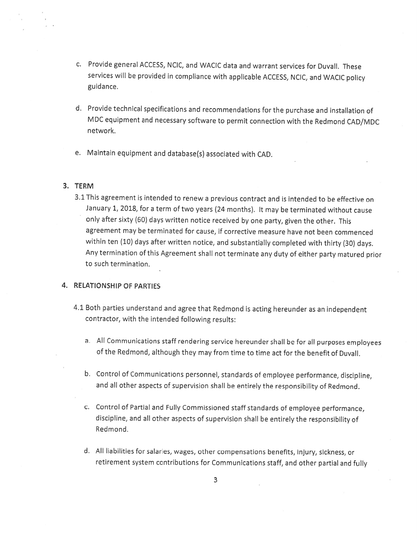- C, Provide general ACCESS, NCIC, and WACIC data and warrant services for Duvall. These services will be provided in compliance with applicable ACCESS, NCIC, and WACIC policy guidance.
- d. Provide technical specifications and recommendations for the purchase and installation of MDC equipment and necessary software to permit connection with the Redmond CAD/MDC network,
- e. Maintain equipment and database(s) associated with CAD.

#### 3. TERM

3.1 This agreement is intended to renew <sup>a</sup> previous contract and is intended to be effective on January 1, 2018, for <sup>a</sup> term of two years (24 months), It may be terminated without cause only after sixty (60) days written notice received by one party, <sup>g</sup>iven the other. This agreement may be terminated for cause, if corrective measure have not been commenced within ten (10) days after written notice, and substantially completed with thirty (30) days Any termination of this Agreement shall not terminate any duty of either party matured prior to such termination.

# 4. RELATIONSHIP OF PARTIES

- 4.1 Both parties understand and agree that Redmond is acting hereunder as an independent contractor, with the intended following results:
	- a. All Communications staff rendering service hereunder shall be for all purposes employees of the Redmond, although they may from time to time act for the benefit of Duvall.
	- b. Control of Communications personnel, standards of employee performance, discipline, and all other aspects of supervision shall be entirely the responsibility of Redmond.
	- c. Control of Partial and Fully Commissioned staff standards of employee performance, discipline, and all other aspects of supervision shall be entirely the responsibility of Redmond.
	- U. All liabilities for salaries, wages, other compensations benefits, injury, sickness, or retirement system contributions for Communications staff, and other partial and fully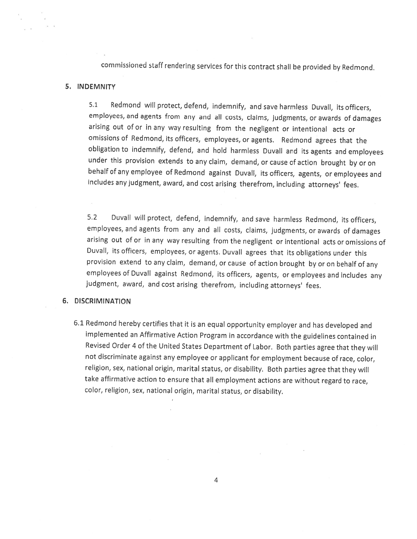commissioned staff rendering services for this contract shall be provided by Redmond.

#### 5, INDEMNITY

5.1 Redmond will protect, defend, indemnify, and save harmless Duvall, its officers, employees, and agents from any and all costs, claims, judgments, or awards of damages arising out ofor in any way resulting from the negligent or intentional acts or omissions of Redmond, its officers, employees, or agents. Redmond agrees that the obligation to indemnify, defend, and hold harmless Duvall and its agents and employees under this provision extends to any claim, demand, or cause of action brought by or on behalf of any employee of Redmond against Duvall, its officers, agents, or employees and includes any judgment, award, and cost arising therefrom, including attorneys' fees.

5.2 Duvall will protect, defend, indemnify, and save harmless Redmond, its officers, employees, and agents from any and all costs, claims, judgments, or awards of damages arising out of or in any way resulting from the negligent or intentional acts or omissions of Duvall, its officers, employees, or agents. Duvall agrees that its obligations under this provision extend to any claim, demand, or cause of action brought by or on behalf of any employees of Duvall against Redmond, its officers, agents, or employees and includes any judgment, award, and cost arising therefrom, including attorneys' fees.

#### 6. DISCRIMINATION

6.1 Redmond hereby certifies that it is an equal opportunity employer and has developed and implemented an Affirmative Action Program in accordance with the guidelines contained in Revised Order <sup>4</sup> of the United States Department of Labor, Both parties agree that they will not discriminate against any employee or applicant for employment because of race, color, religion, sex, national origin, marital status, or disability. Both parties agree that they will take affirmative action to ensure that all employment actions are without regard to race, color, religion, sex, national origin, marital status, or disability.

 $\bar{E}$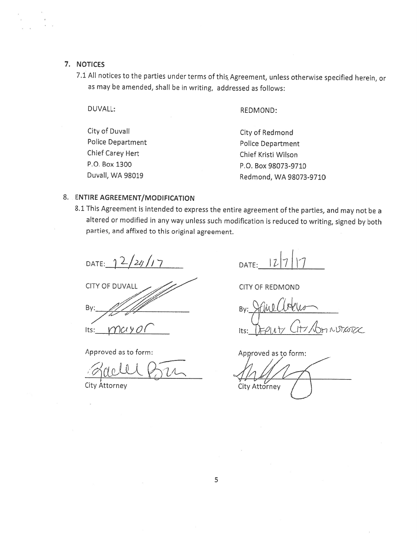# 7, NOTICES

7.1 All notices to the parties under terms of this Agreement, unless otherwise specified herein, or as may be amended, shall be in writing, addressed as follows;

# DUVALL: REDMOND:

| City of Duvall    | City of Redmond          |
|-------------------|--------------------------|
| Police Department | <b>Police Department</b> |
| Chief Carey Hert  | Chief Kristi Wilson      |
| P.O. Box 1300     | P.O. Box 98073-9710      |
| Duvall, WA 98019  | Redmond, WA 98073-9710   |

## 8. ENTIRE AGREEMENT/MODIFICATION

<sup>81</sup> This Agreement is intended to express the entire agreement ofthe parties, and may not be <sup>a</sup> altered or modified in any way unless such modification is reduced to writing, signed by both parties, and affixed to this original agreement.

DATE:  $\frac{2}{2}$  2/21/17 DATE: 127 17

CITY OF DUVALL By: Its:  $WUYO$ 

Approved as to form:

dell Bu

City Attorney

CITY OF REDMOND

Bv: ITT ADMINISTRATER Its:

Approved as to form: City Attorney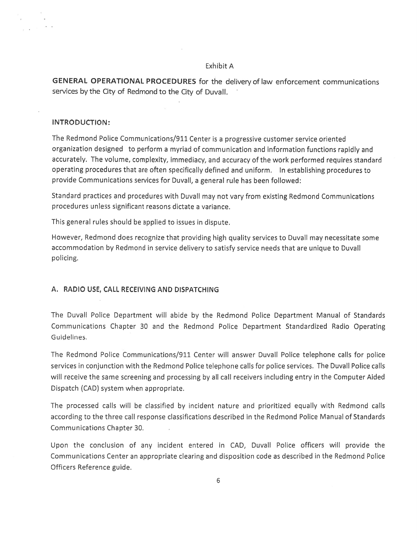#### Exhibit A

GENERAL OPERATIONAL PROCEDURES for the delivery of law enforcement communications services by the City of Redmond to the City of Duvall.

### INTRODUCTION:

The Redmond Police Communications/911 Center is <sup>a</sup> progressive customer service oriented organization designed to perform <sup>a</sup> myriad of communication and information functions rapidly and accurately. The volume, complexity, immediacy, and accuracy ofthe work performed requires standard operating procedures that are often specifically defined and uniform. In establishing procedures to provide Communications services for Duvall, <sup>a</sup> genera<sup>l</sup> rule has been followed:

Standard practices and procedures with Duvall may not vary from existing Redmond Communications procedures unless significant reasons dictate <sup>a</sup> variance.

This genera<sup>l</sup> rules should be applied to issues in dispute.

However, Redmond does recognize that providing high quality services to Duvall may necessitate some accommodation by Redmond in service delivery to satisfy service needs that are unique to Duvall policing.

### A. RADIO USE, CALL RECEIVING AND DISPATCHING

The Duvall Police Department will abide by the Redmond Police Department Manual of Standards Communications Chapter 30 and the Redmond Police Department Standardized Radio Operating Guidelines.

The Redmond Police Communications/911 Center will answer Duvall Police telephone calls for police services in conjunction with the Redmond Police telephone calls for police services. The Duvall Police calls will receive the same screening and processing by all call receivers including entry in the Computer Aided Dispatch (CAD) system when appropriate.

The processed calls will be classified by incident nature and prioritized equally with Redmond calls according to the three call response classifications described in the Redmond Police Manual of Standards Communications Chapter 30.

Upon the conclusion of any incident entered in CAD, Duvall Police officers will provide the Communications Center an appropriate clearing and disposition code as described in the Redmond Police Officers Reference guide.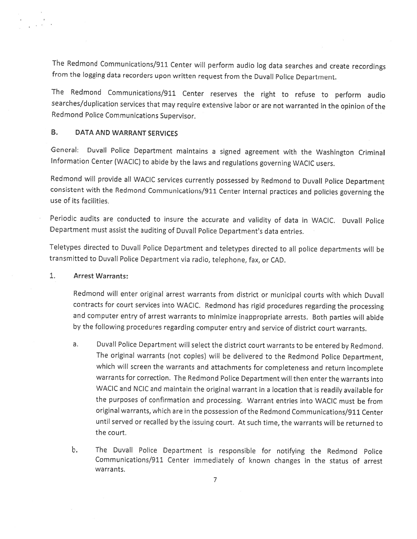The Redmond Communications/911 Center will perform audio log data searches and create recordings from the logging data recorders upon written request from the Duvall Police Department.

The Redmond Communications/911 Center reserves the right to refuse to perform audio searches/duplication services that may require extensive labor or are not warranted in the opinion of the Redmond Police Communications Supervisor.

# B. DATA AND WARRANT SERVICES

General; Duvall Police Department maintains <sup>a</sup> signed agreement with the Washington Criminal Information Center (WACIC) to abide by the laws and regulations governing WACIC users.

Redmond will provide all WACIC services currently possessed by Redmond to Duvall Police Department consistent with the Redmond Communications/911 Center internal practices and policies governing the use of its facilities.

Periodic audits are conducted to insure the accurate and validity of data in WACIC. Duvalt Police Department must assist the auditing of Duvall Police Department's data entries.

Teletypes directed to Duvall Police Department and teletypes directed to all police departments will be transmitted to Duvall Police Department via radio, telephone, fax, or CAD.

#### 1. Arrest Warrants:

Redmond will enter original 'arrest warrants from district or municipal courts with which Duvall contracts for court services into WACIC. Redmond has rigid procedures regarding the processing and computer entry of arrest warrants to minimize inappropriate arrests, Both parties will abide by the following procedures regarding computer entry and service of district court warrants.

- a. Duvall Police Department will select the district court warrants to be entered by Redmond. The original warrants (not copies) will be delivered to the Redmond Police Department, which will screen the warrants and attachments for completeness and return incomplete warrants for correction. The Redmond Police Department will then enter the warrants into WACIC and NCIC and maintain the original warrant in <sup>a</sup> location that is readily available for the purposes of confirmation and processing. Warrant entries into WACIC must be from original warrants, which are in the possession ofthe Redmond Communications/911 Center until served or recalled by the issuing court, At such time, the warrants will be returned to the court.
- b. The Duvall Police Department is responsible for notifying the Redmond Police Communications/911 Center immediately of known changes in the status of arrest warrants.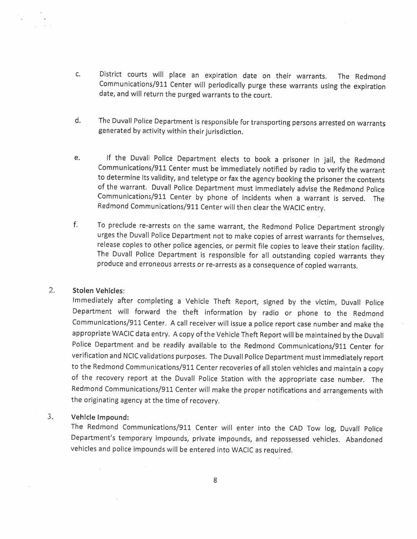- c. District courts will place an expiration date on their warrants. The Redmond Communications/911 Center will periodically purge these warrants using the expiration date, and will return the purged warrants to the court.
- d. The Duvall Police Department is responsible for transporting persons arrested on warrants generated by activity within their jurisdiction.
- e. If the Duvall Police Department elects to book a prisoner in jail, the Redmond Communications/911 Center must be immediately notified by radio to verify the warrant to determine its validity, and teletype or fax the agency booking the prisoner the contents of the warrant, Duvall Police Department must immediately advise the Redmond Police Communications/911 Center by <sup>p</sup>hone of incidents when <sup>a</sup> warrant is served. The Redmond Comrnunications/911 Center will then clear the WACIC entry.
- f, To preclude re-arrests on the same warrant, the Redmond Police Department strongly urges the Duvall Police Department not to make copies of arrest warrants for themselves, release copies to other police agencies, or permit file copies to leave their station facility. The Duvall Police Department is responsible for all outstanding copied warrants they produce and erroneous arrests or re-arrests as <sup>a</sup> consequence of copied warrants.

# 2. Stolen Vehicles:

Immediately after completing <sup>a</sup> Vehicle Theft Report, signed by the victim, Duvall Police Department will forward the theft information by radio or <sup>p</sup>hone to the Redmond Communications/911 Center. <sup>A</sup> call receiver will issue <sup>a</sup> police report case number and make the appropriate WACIC data entry. A copy of the Vehicle Theft Report will be maintained by the Duvall Police Department and be readily available to the Redmond Communications/911 Center for verification and NCIC validations purposes. The Duvall Police Department must immediately report to the Redmond Communications/911 Center recoveries of all stolen vehicles and maintain <sup>a</sup> copy of the recovery report at the Duvall Police Station with the appropriate case number. The Redmond Communications/911 Center will make the proper notifications and arrangements with the originating agency at the time of recovery.

### 3. Vehicle Impound:

The Redmond Communications/911 Center will enter into the CAD Tow log, Duvall Police Department's temporary impounds, private impounds, and repossessed vehicles. Abandoned vehicles and police impounds will be entered into WACIC as required.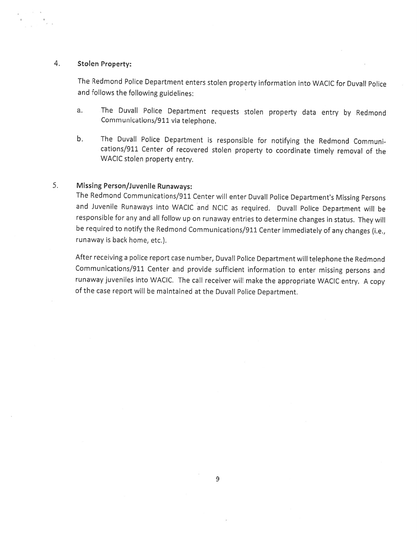## 4. Stolen Property:

The Redmond Police Department enters stolen property information into WACIC for Duvall Police and follows the following guidelines:

- a. The Duvall Police Department requests stolen property data entry by Redmond Communications/911 via telephone
- b. The Duvall Police Department is responsible for notifying the Redmond Communications/911 Center of recovered stolen property to coordinate timely removal of the WACIC stolen property entry.

# 5. Missing Person/Juvenile Runaways:

The Redmond Communications/911 Center will enter Duvall Police Department's Missing Persons and Juvenile Runaways into WACIC and NCIC as required. Duvall Police Department will be responsible for any and all follow up on runaway entries to determine changes in status. They will be required to notify the Redmond Communications/911 Center immediately of any changes (i.e, runaway is back home, etc.).

After receiving <sup>a</sup> police report case number, Duvall Police Department will telephone the Redmond Communications/911 Center and provide sufficient information to enter missing persons and runaway juveniles into WACIC. The call receiver will make the appropriate WACIC entry. A copy of the case report will be maintained at the Duvall Police Department.